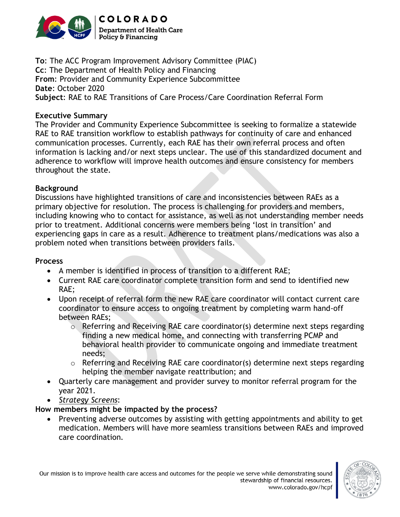

**To**: The ACC Program Improvement Advisory Committee (PIAC) **Cc**: The Department of Health Policy and Financing **From**: Provider and Community Experience Subcommittee **Date**: October 2020 **Subject**: RAE to RAE Transitions of Care Process/Care Coordination Referral Form

#### **Executive Summary**

The Provider and Community Experience Subcommittee is seeking to formalize a statewide RAE to RAE transition workflow to establish pathways for continuity of care and enhanced communication processes. Currently, each RAE has their own referral process and often information is lacking and/or next steps unclear. The use of this standardized document and adherence to workflow will improve health outcomes and ensure consistency for members throughout the state.

#### **Background**

Discussions have highlighted transitions of care and inconsistencies between RAEs as a primary objective for resolution. The process is challenging for providers and members, including knowing who to contact for assistance, as well as not understanding member needs prior to treatment. Additional concerns were members being 'lost in transition' and experiencing gaps in care as a result. Adherence to treatment plans/medications was also a problem noted when transitions between providers fails.

#### **Process**

- A member is identified in process of transition to a different RAE;
- Current RAE care coordinator complete transition form and send to identified new RAE;
- Upon receipt of referral form the new RAE care coordinator will contact current care coordinator to ensure access to ongoing treatment by completing warm hand-off between RAEs;
	- o Referring and Receiving RAE care coordinator(s) determine next steps regarding finding a new medical home, and connecting with transferring PCMP and behavioral health provider to communicate ongoing and immediate treatment needs;
	- o Referring and Receiving RAE care coordinator(s) determine next steps regarding helping the member navigate reattribution; and
- Quarterly care management and provider survey to monitor referral program for the year 2021.
- *Strategy Screens*:

### **How members might be impacted by the process?**

• Preventing adverse outcomes by assisting with getting appointments and ability to get medication. Members will have more seamless transitions between RAEs and improved care coordination.



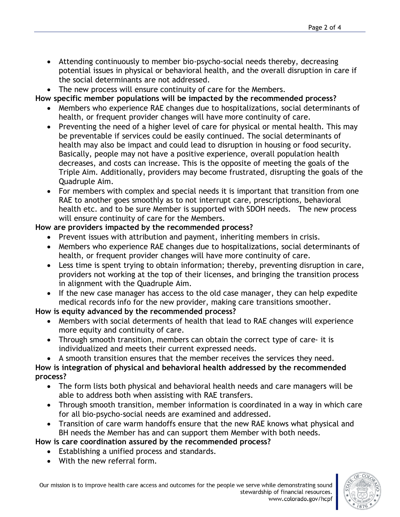- Attending continuously to member bio-psycho-social needs thereby, decreasing potential issues in physical or behavioral health, and the overall disruption in care if the social determinants are not addressed.
- The new process will ensure continuity of care for the Members.

**How specific member populations will be impacted by the recommended process?**

- Members who experience RAE changes due to hospitalizations, social determinants of health, or frequent provider changes will have more continuity of care.
- Preventing the need of a higher level of care for physical or mental health. This may be preventable if services could be easily continued. The social determinants of health may also be impact and could lead to disruption in housing or food security. Basically, people may not have a positive experience, overall population health decreases, and costs can increase. This is the opposite of meeting the goals of the Triple Aim. Additionally, providers may become frustrated, disrupting the goals of the Quadruple Aim.
- For members with complex and special needs it is important that transition from one RAE to another goes smoothly as to not interrupt care, prescriptions, behavioral health etc. and to be sure Member is supported with SDOH needs. The new process will ensure continuity of care for the Members.

## **How are providers impacted by the recommended process?**

- Prevent issues with attribution and payment, inheriting members in crisis.
- Members who experience RAE changes due to hospitalizations, social determinants of health, or frequent provider changes will have more continuity of care.
- Less time is spent trying to obtain information; thereby, preventing disruption in care, providers not working at the top of their licenses, and bringing the transition process in alignment with the Quadruple Aim.
- If the new case manager has access to the old case manager, they can help expedite medical records info for the new provider, making care transitions smoother.

### **How is equity advanced by the recommended process?**

- Members with social determents of health that lead to RAE changes will experience more equity and continuity of care.
- Through smooth transition, members can obtain the correct type of care- it is individualized and meets their current expressed needs.
- A smooth transition ensures that the member receives the services they need.

### **How is integration of physical and behavioral health addressed by the recommended process?**

- The form lists both physical and behavioral health needs and care managers will be able to address both when assisting with RAE transfers.
- Through smooth transition, member information is coordinated in a way in which care for all bio-psycho-social needs are examined and addressed.
- Transition of care warm handoffs ensure that the new RAE knows what physical and BH needs the Member has and can support them Member with both needs.

# **How is care coordination assured by the recommended process?**

- Establishing a unified process and standards.
- With the new referral form.

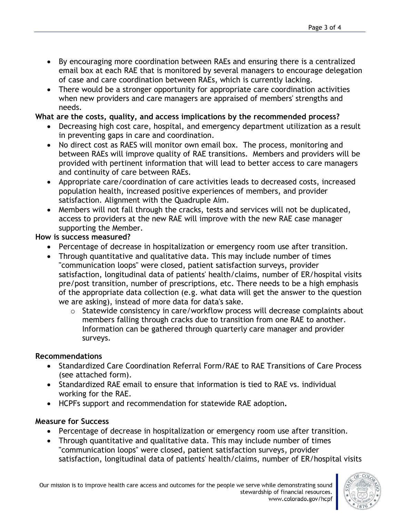- By encouraging more coordination between RAEs and ensuring there is a centralized email box at each RAE that is monitored by several managers to encourage delegation of case and care coordination between RAEs, which is currently lacking.
- There would be a stronger opportunity for appropriate care coordination activities when new providers and care managers are appraised of members' strengths and needs.

### **What are the costs, quality, and access implications by the recommended process?**

- Decreasing high cost care, hospital, and emergency department utilization as a result in preventing gaps in care and coordination.
- No direct cost as RAES will monitor own email box. The process, monitoring and between RAEs will improve quality of RAE transitions. Members and providers will be provided with pertinent information that will lead to better access to care managers and continuity of care between RAEs.
- Appropriate care/coordination of care activities leads to decreased costs, increased population health, increased positive experiences of members, and provider satisfaction. Alignment with the Quadruple Aim.
- Members will not fall through the cracks, tests and services will not be duplicated, access to providers at the new RAE will improve with the new RAE case manager supporting the Member.

### **How is success measured?**

- Percentage of decrease in hospitalization or emergency room use after transition.
- Through quantitative and qualitative data. This may include number of times "communication loops" were closed, patient satisfaction surveys, provider satisfaction, longitudinal data of patients' health/claims, number of ER/hospital visits pre/post transition, number of prescriptions, etc. There needs to be a high emphasis of the appropriate data collection (e.g. what data will get the answer to the question we are asking), instead of more data for data's sake.
	- o Statewide consistency in care/workflow process will decrease complaints about members falling through cracks due to transition from one RAE to another. Information can be gathered through quarterly care manager and provider surveys.

# **Recommendations**

- Standardized Care Coordination Referral Form/RAE to RAE Transitions of Care Process (see attached form).
- Standardized RAE email to ensure that information is tied to RAE vs. individual working for the RAE.
- HCPFs support and recommendation for statewide RAE adoption**.**

# **Measure for Success**

- Percentage of decrease in hospitalization or emergency room use after transition.
- Through quantitative and qualitative data. This may include number of times "communication loops" were closed, patient satisfaction surveys, provider satisfaction, longitudinal data of patients' health/claims, number of ER/hospital visits